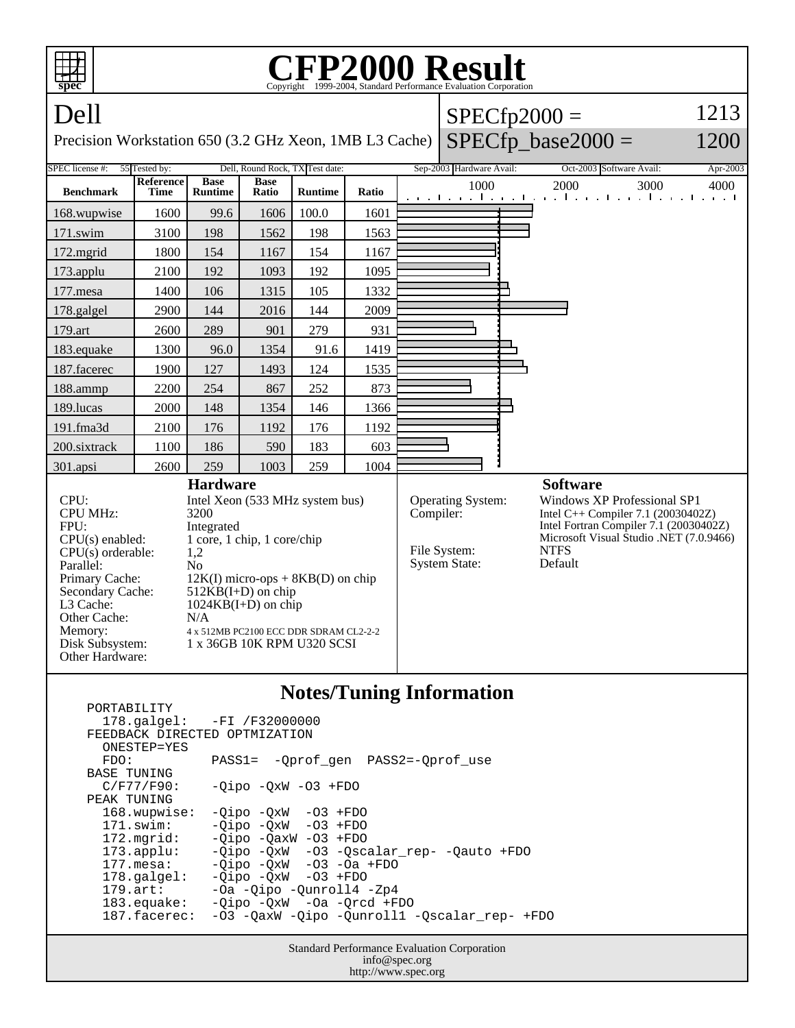

 ONESTEP=YES FDO: PASS1= -Qprof\_gen PASS2=-Qprof\_use BASE TUNING<br>C/F77/F90:  $-Qipo -QxW -O3 +FDO$  PEAK TUNING 168.wupwise: -Qipo -QxW -O3 +FDO 171.swim: -Qipo -QxW -O3 +FDO 172.mgrid: -Qipo -QaxW -O3 +FDO 173.applu: -Qipo -QxW -O3 -Qscalar\_rep- -Qauto +FDO 177.mesa: - Qipo - QxW - O3 - Oa + FDO<br>178.galgel: - Oipo - OxW - O3 + FDO 178.galgel: -Qipo -QxW<br>179.art: -Oa -Qipo --Oa -Qipo -Qunroll4 -Zp4 183.equake: -Qipo -QxW -Oa -Qrcd +FDO 187.facerec: -O3 -QaxW -Qipo -Qunroll1 -Qscalar\_rep- +FDO

> Standard Performance Evaluation Corporation info@spec.org http://www.spec.org